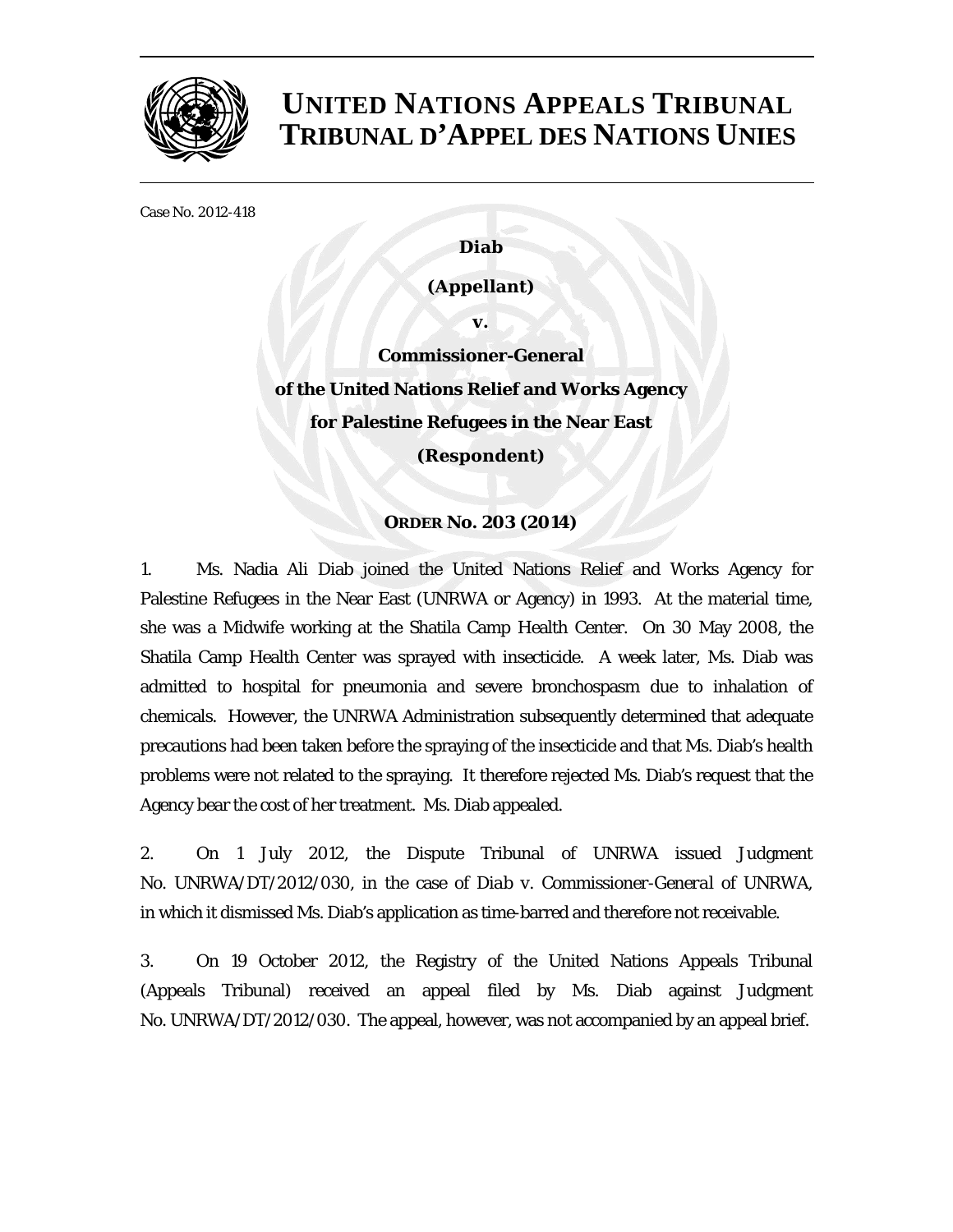

## **UNITED NATIONS APPEALS TRIBUNAL TRIBUNAL D'APPEL DES NATIONS UNIES**

Case No. 2012-418

**Diab** 

**(Appellant)** 

**v. Commissioner-General of the United Nations Relief and Works Agency for Palestine Refugees in the Near East (Respondent)** 

## **ORDER No. 203 (2014)**

1. Ms. Nadia Ali Diab joined the United Nations Relief and Works Agency for Palestine Refugees in the Near East (UNRWA or Agency) in 1993. At the material time, she was a Midwife working at the Shatila Camp Health Center. On 30 May 2008, the Shatila Camp Health Center was sprayed with insecticide. A week later, Ms. Diab was admitted to hospital for pneumonia and severe bronchospasm due to inhalation of chemicals. However, the UNRWA Administration subsequently determined that adequate precautions had been taken before the spraying of the insecticide and that Ms. Diab's health problems were not related to the spraying. It therefore rejected Ms. Diab's request that the Agency bear the cost of her treatment. Ms. Diab appealed.

2. On 1 July 2012, the Dispute Tribunal of UNRWA issued Judgment No. UNRWA/DT/2012/030, in the case of *Diab v. Commissioner-General of UNRWA*, in which it dismissed Ms. Diab's application as time-barred and therefore not receivable.

3. On 19 October 2012, the Registry of the United Nations Appeals Tribunal (Appeals Tribunal) received an appeal filed by Ms. Diab against Judgment No. UNRWA/DT/2012/030. The appeal, however, was not accompanied by an appeal brief.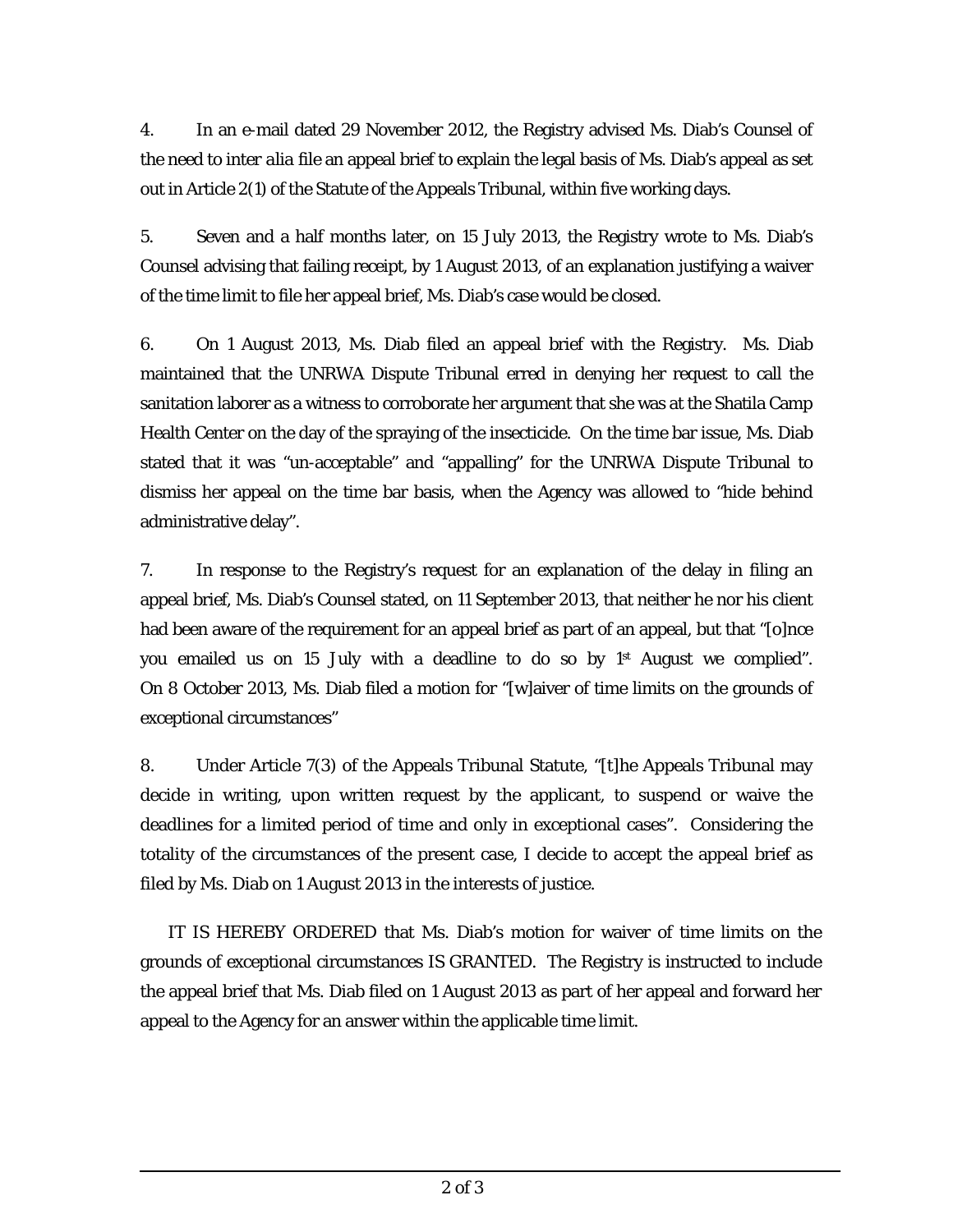4. In an e-mail dated 29 November 2012, the Registry advised Ms. Diab's Counsel of the need to *inter alia* file an appeal brief to explain the legal basis of Ms. Diab's appeal as set out in Article 2(1) of the Statute of the Appeals Tribunal, within five working days.

5. Seven and a half months later, on 15 July 2013, the Registry wrote to Ms. Diab's Counsel advising that failing receipt, by 1 August 2013, of an explanation justifying a waiver of the time limit to file her appeal brief, Ms. Diab's case would be closed.

6. On 1 August 2013, Ms. Diab filed an appeal brief with the Registry. Ms. Diab maintained that the UNRWA Dispute Tribunal erred in denying her request to call the sanitation laborer as a witness to corroborate her argument that she was at the Shatila Camp Health Center on the day of the spraying of the insecticide. On the time bar issue, Ms. Diab stated that it was "un-acceptable" and "appalling" for the UNRWA Dispute Tribunal to dismiss her appeal on the time bar basis, when the Agency was allowed to "hide behind administrative delay".

7. In response to the Registry's request for an explanation of the delay in filing an appeal brief, Ms. Diab's Counsel stated, on 11 September 2013, that neither he nor his client had been aware of the requirement for an appeal brief as part of an appeal, but that "[o]nce you emailed us on 15 July with a deadline to do so by 1<sup>st</sup> August we complied". On 8 October 2013, Ms. Diab filed a motion for "[w]aiver of time limits on the grounds of exceptional circumstances"

8. Under Article 7(3) of the Appeals Tribunal Statute, "[t]he Appeals Tribunal may decide in writing, upon written request by the applicant, to suspend or waive the deadlines for a limited period of time and only in exceptional cases". Considering the totality of the circumstances of the present case, I decide to accept the appeal brief as filed by Ms. Diab on 1 August 2013 in the interests of justice.

 IT IS HEREBY ORDERED that Ms. Diab's motion for waiver of time limits on the grounds of exceptional circumstances IS GRANTED. The Registry is instructed to include the appeal brief that Ms. Diab filed on 1 August 2013 as part of her appeal and forward her appeal to the Agency for an answer within the applicable time limit.